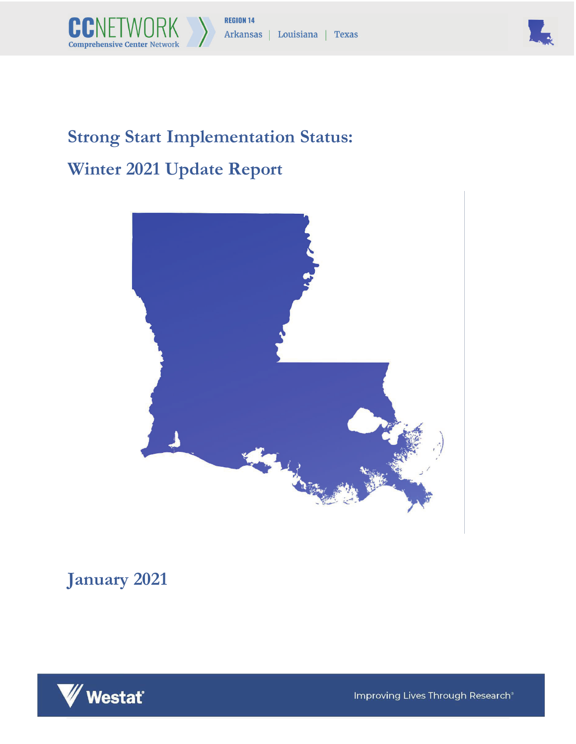



# **Strong Start Implementation Status: Winter 2021 Update Report**



## **January 2021**



Improving Lives Through Research®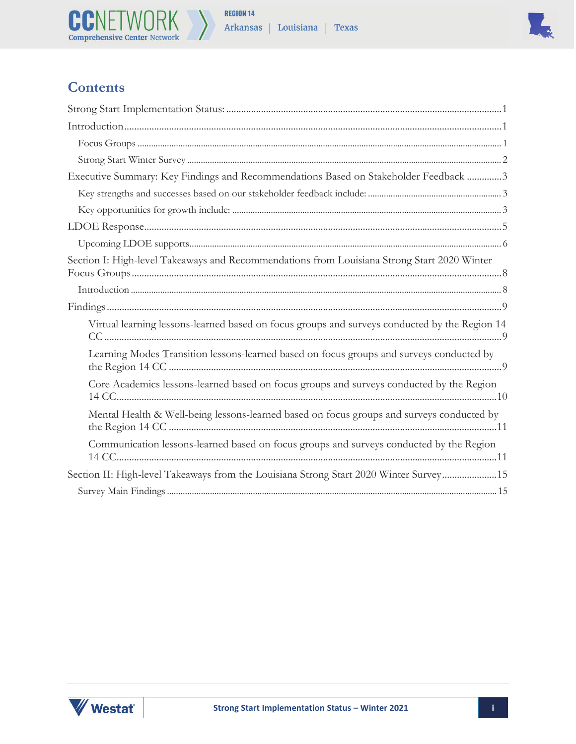



## **Contents**

| Executive Summary: Key Findings and Recommendations Based on Stakeholder Feedback 3           |
|-----------------------------------------------------------------------------------------------|
|                                                                                               |
|                                                                                               |
|                                                                                               |
|                                                                                               |
| Section I: High-level Takeaways and Recommendations from Louisiana Strong Start 2020 Winter   |
|                                                                                               |
|                                                                                               |
| Virtual learning lessons-learned based on focus groups and surveys conducted by the Region 14 |
| Learning Modes Transition lessons-learned based on focus groups and surveys conducted by      |
| Core Academics lessons-learned based on focus groups and surveys conducted by the Region      |
| Mental Health & Well-being lessons-learned based on focus groups and surveys conducted by     |
| Communication lessons-learned based on focus groups and surveys conducted by the Region       |
| Section II: High-level Takeaways from the Louisiana Strong Start 2020 Winter Survey15         |
|                                                                                               |

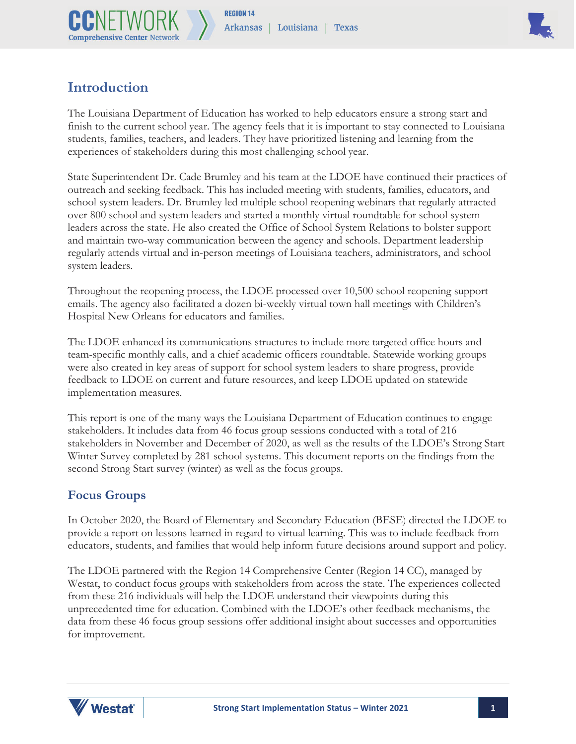



## **Introduction**

The Louisiana Department of Education has worked to help educators ensure a strong start and finish to the current school year. The agency feels that it is important to stay connected to Louisiana students, families, teachers, and leaders. They have prioritized listening and learning from the experiences of stakeholders during this most challenging school year.

State Superintendent Dr. Cade Brumley and his team at the LDOE have continued their practices of outreach and seeking feedback. This has included meeting with students, families, educators, and school system leaders. Dr. Brumley led multiple school reopening webinars that regularly attracted over 800 school and system leaders and started a monthly virtual roundtable for school system leaders across the state. He also created the Office of School System Relations to bolster support and maintain two-way communication between the agency and schools. Department leadership regularly attends virtual and in-person meetings of Louisiana teachers, administrators, and school system leaders.

Throughout the reopening process, the LDOE processed over 10,500 school reopening support emails. The agency also facilitated a dozen bi-weekly virtual town hall meetings with Children's Hospital New Orleans for educators and families.

The LDOE enhanced its communications structures to include more targeted office hours and team-specific monthly calls, and a chief academic officers roundtable. Statewide working groups were also created in key areas of support for school system leaders to share progress, provide feedback to LDOE on current and future resources, and keep LDOE updated on statewide implementation measures.

This report is one of the many ways the Louisiana Department of Education continues to engage stakeholders. It includes data from 46 focus group sessions conducted with a total of 216 stakeholders in November and December of 2020, as well as the results of the LDOE's Strong Start Winter Survey completed by 281 school systems. This document reports on the findings from the second Strong Start survey (winter) as well as the focus groups.

#### **Focus Groups**

In October 2020, the Board of Elementary and Secondary Education (BESE) directed the LDOE to provide a report on lessons learned in regard to virtual learning. This was to include feedback from educators, students, and families that would help inform future decisions around support and policy.

The LDOE partnered with the Region 14 Comprehensive Center (Region 14 CC), managed by Westat, to conduct focus groups with stakeholders from across the state. The experiences collected from these 216 individuals will help the LDOE understand their viewpoints during this unprecedented time for education. Combined with the LDOE's other feedback mechanisms, the data from these 46 focus group sessions offer additional insight about successes and opportunities for improvement.

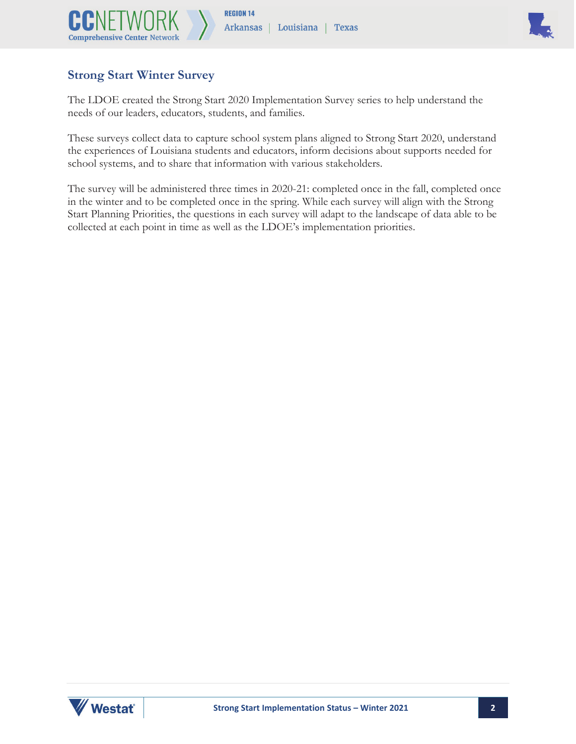



#### **Strong Start Winter Survey**

The LDOE created the Strong Start 2020 Implementation Survey series to help understand the needs of our leaders, educators, students, and families.

These surveys collect data to capture school system plans aligned to Strong Start 2020, understand the experiences of Louisiana students and educators, inform decisions about supports needed for school systems, and to share that information with various stakeholders.

The survey will be administered three times in 2020-21: completed once in the fall, completed once in the winter and to be completed once in the spring. While each survey will align with the Strong Start Planning Priorities, the questions in each survey will adapt to the landscape of data able to be collected at each point in time as well as the LDOE's implementation priorities.

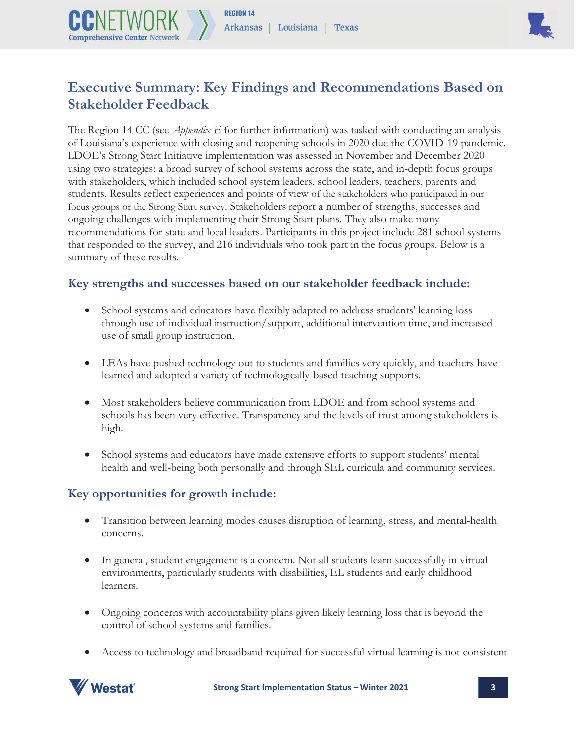

## **Executive Summary: Key Findings and Recommendations Based on Stakeholder Feedback**

The Region 14 CC (see *Appendix E* for further information) was tasked with conducting an analysis of Louisiana's experience with closing and reopening schools in 2020 due the COVID-19 pandemic. LDOE's Strong Start Initiative implementation was assessed in November and December 2020 using two strategies: a broad survey of school systems across the state, and in-depth focus groups with stakeholders, which included school system leaders, school leaders, teachers, parents and students. Results reflect experiences and points of view of the stakeholders who participated in our focus groups or the Strong Start survey. Stakeholders report a number of strengths, successes and ongoing challenges with implementing their Strong Start plans. They also make many recommendations for state and local leaders. Participants in this project include 281 school systems that responded to the survey, and 216 individuals who took part in the focus groups. Below is a summary of these results.

#### **Key strengths and successes based on our stakeholder feedback include:**

- School systems and educators have flexibly adapted to address students' learning loss through use of individual instruction/support, additional intervention time, and increased use of small group instruction.
- LEAs have pushed technology out to students and families very quickly, and teachers have learned and adopted a variety of technologically-based teaching supports.
- Most stakeholders believe communication from LDOE and from school systems and schools has been very effective. Transparency and the levels of trust among stakeholders is high.
- School systems and educators have made extensive efforts to support students' mental health and well-being both personally and through SEL curricula and community services.

#### **Key opportunities for growth include:**

**Comprehensive Center Networ** 

- Transition between learning modes causes disruption of learning, stress, and mental-health concerns.
- In general, student engagement is a concern. Not all students learn successfully in virtual environments, particularly students with disabilities, EL students and early childhood learners.
- Ongoing concerns with accountability plans given likely learning loss that is beyond the control of school systems and families.
- Access to technology and broadband required for successful virtual learning is not consistent

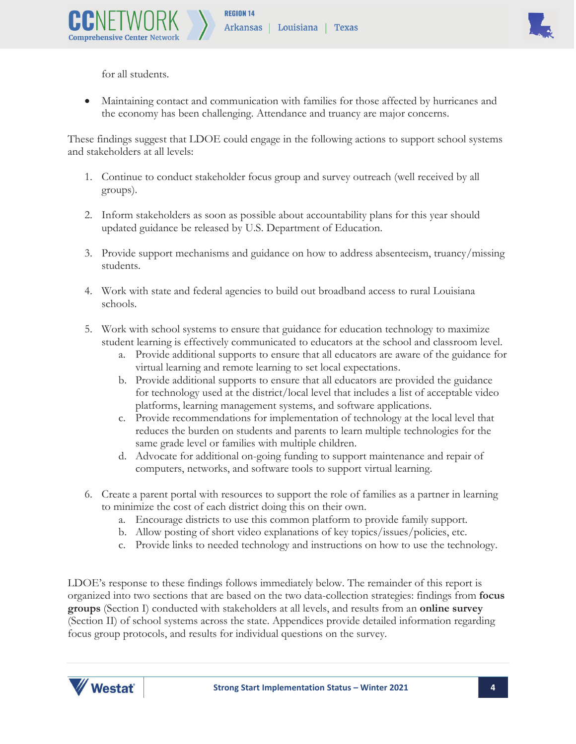

for all students.

**Comprehensive Center Net** 

• Maintaining contact and communication with families for those affected by hurricanes and the economy has been challenging. Attendance and truancy are major concerns.

These findings suggest that LDOE could engage in the following actions to support school systems and stakeholders at all levels:

- 1. Continue to conduct stakeholder focus group and survey outreach (well received by all groups).
- 2. Inform stakeholders as soon as possible about accountability plans for this year should updated guidance be released by U.S. Department of Education.
- 3. Provide support mechanisms and guidance on how to address absenteeism, truancy/missing students.
- 4. Work with state and federal agencies to build out broadband access to rural Louisiana schools.
- 5. Work with school systems to ensure that guidance for education technology to maximize student learning is effectively communicated to educators at the school and classroom level.
	- a. Provide additional supports to ensure that all educators are aware of the guidance for virtual learning and remote learning to set local expectations.
	- b. Provide additional supports to ensure that all educators are provided the guidance for technology used at the district/local level that includes a list of acceptable video platforms, learning management systems, and software applications.
	- c. Provide recommendations for implementation of technology at the local level that reduces the burden on students and parents to learn multiple technologies for the same grade level or families with multiple children.
	- d. Advocate for additional on-going funding to support maintenance and repair of computers, networks, and software tools to support virtual learning.
- 6. Create a parent portal with resources to support the role of families as a partner in learning to minimize the cost of each district doing this on their own.
	- a. Encourage districts to use this common platform to provide family support.
	- b. Allow posting of short video explanations of key topics/issues/policies, etc.
	- c. Provide links to needed technology and instructions on how to use the technology.

LDOE's response to these findings follows immediately below. The remainder of this report is organized into two sections that are based on the two data-collection strategies: findings from **focus groups** (Section I) conducted with stakeholders at all levels, and results from an **online survey** (Section II) of school systems across the state. Appendices provide detailed information regarding focus group protocols, and results for individual questions on the survey.

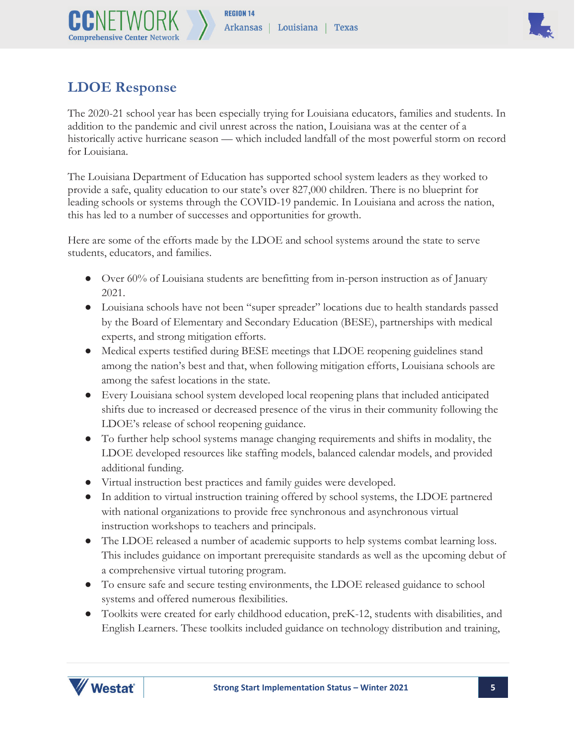

## **LDOE Response**

**Comprehensive Center Netwo** 

The 2020-21 school year has been especially trying for Louisiana educators, families and students. In addition to the pandemic and civil unrest across the nation, Louisiana was at the center of a historically active hurricane season — which included landfall of the most powerful storm on record for Louisiana.

The Louisiana Department of Education has supported school system leaders as they worked to provide a safe, quality education to our state's over 827,000 children. There is no blueprint for leading schools or systems through the COVID-19 pandemic. In Louisiana and across the nation, this has led to a number of successes and opportunities for growth.

Here are some of the efforts made by the LDOE and school systems around the state to serve students, educators, and families.

- Over 60% of Louisiana students are benefitting from in-person instruction as of January 2021.
- Louisiana schools have not been "super spreader" locations due to health standards passed by the Board of Elementary and Secondary Education (BESE), partnerships with medical experts, and strong mitigation efforts.
- Medical experts testified during BESE meetings that LDOE reopening guidelines stand among the nation's best and that, when following mitigation efforts, Louisiana schools are among the safest locations in the state.
- Every Louisiana school system developed local reopening plans that included anticipated shifts due to increased or decreased presence of the virus in their community following the LDOE's release of school reopening guidance.
- To further help school systems manage changing requirements and shifts in modality, the LDOE developed resources like staffing models, balanced calendar models, and provided additional funding.
- Virtual instruction best practices and family guides were developed.
- In addition to virtual instruction training offered by school systems, the LDOE partnered with national organizations to provide free synchronous and asynchronous virtual instruction workshops to teachers and principals.
- The LDOE released a number of academic supports to help systems combat learning loss. This includes guidance on important prerequisite standards as well as the upcoming debut of a comprehensive virtual tutoring program.
- To ensure safe and secure testing environments, the LDOE released guidance to school systems and offered numerous flexibilities.
- Toolkits were created for early childhood education, preK-12, students with disabilities, and English Learners. These toolkits included guidance on technology distribution and training,

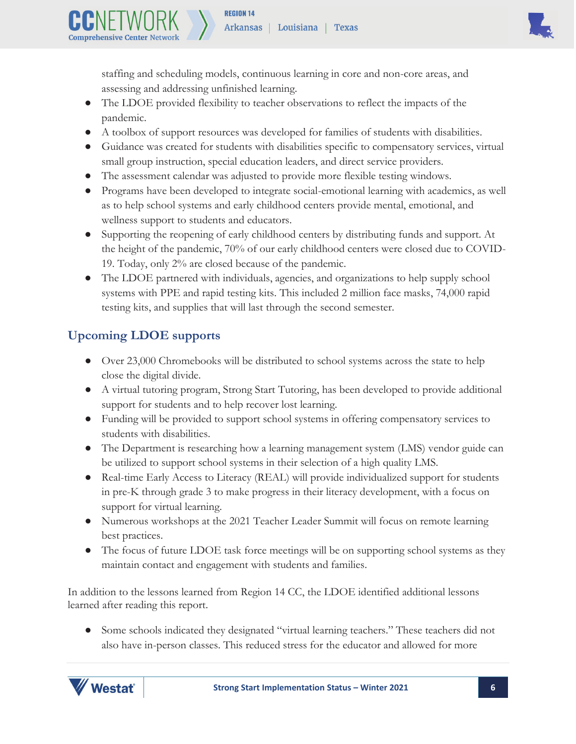

staffing and scheduling models, continuous learning in core and non-core areas, and assessing and addressing unfinished learning.

- The LDOE provided flexibility to teacher observations to reflect the impacts of the pandemic.
- A toolbox of support resources was developed for families of students with disabilities.
- Guidance was created for students with disabilities specific to compensatory services, virtual small group instruction, special education leaders, and direct service providers.
- The assessment calendar was adjusted to provide more flexible testing windows.
- Programs have been developed to integrate social-emotional learning with academics, as well as to help school systems and early childhood centers provide mental, emotional, and wellness support to students and educators.
- Supporting the reopening of early childhood centers by distributing funds and support. At the height of the pandemic, 70% of our early childhood centers were closed due to COVID-19. Today, only 2% are closed because of the pandemic.
- The LDOE partnered with individuals, agencies, and organizations to help supply school systems with PPE and rapid testing kits. This included 2 million face masks, 74,000 rapid testing kits, and supplies that will last through the second semester.

## **Upcoming LDOE supports**

**Comprehensive Center Netwo** 

- Over 23,000 Chromebooks will be distributed to school systems across the state to help close the digital divide.
- A virtual tutoring program, Strong Start Tutoring, has been developed to provide additional support for students and to help recover lost learning.
- Funding will be provided to support school systems in offering compensatory services to students with disabilities.
- The Department is researching how a learning management system (LMS) vendor guide can be utilized to support school systems in their selection of a high quality LMS.
- Real-time Early Access to Literacy (REAL) will provide individualized support for students in pre-K through grade 3 to make progress in their literacy development, with a focus on support for virtual learning.
- Numerous workshops at the 2021 Teacher Leader Summit will focus on remote learning best practices.
- The focus of future LDOE task force meetings will be on supporting school systems as they maintain contact and engagement with students and families.

In addition to the lessons learned from Region 14 CC, the LDOE identified additional lessons learned after reading this report.

● Some schools indicated they designated "virtual learning teachers." These teachers did not also have in-person classes. This reduced stress for the educator and allowed for more

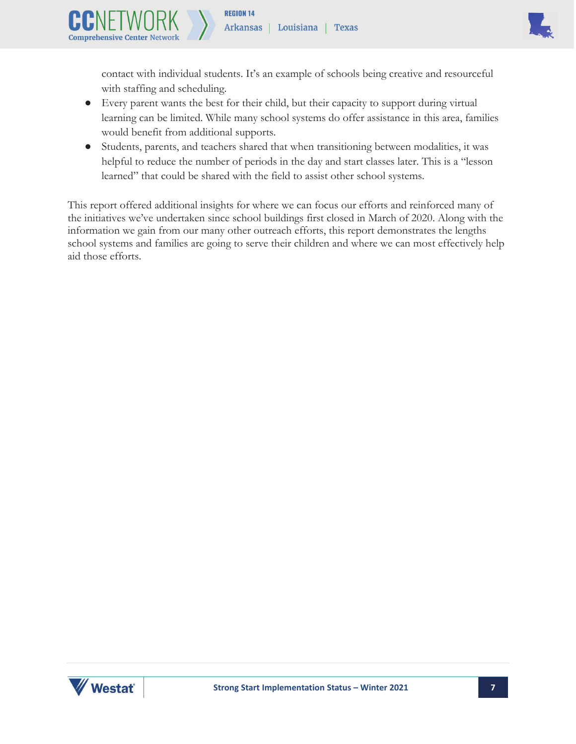

contact with individual students. It's an example of schools being creative and resourceful with staffing and scheduling.

- Every parent wants the best for their child, but their capacity to support during virtual learning can be limited. While many school systems do offer assistance in this area, families would benefit from additional supports.
- Students, parents, and teachers shared that when transitioning between modalities, it was helpful to reduce the number of periods in the day and start classes later. This is a "lesson learned" that could be shared with the field to assist other school systems.

This report offered additional insights for where we can focus our efforts and reinforced many of the initiatives we've undertaken since school buildings first closed in March of 2020. Along with the information we gain from our many other outreach efforts, this report demonstrates the lengths school systems and families are going to serve their children and where we can most effectively help aid those efforts.



**Comprehensive Center Netwo**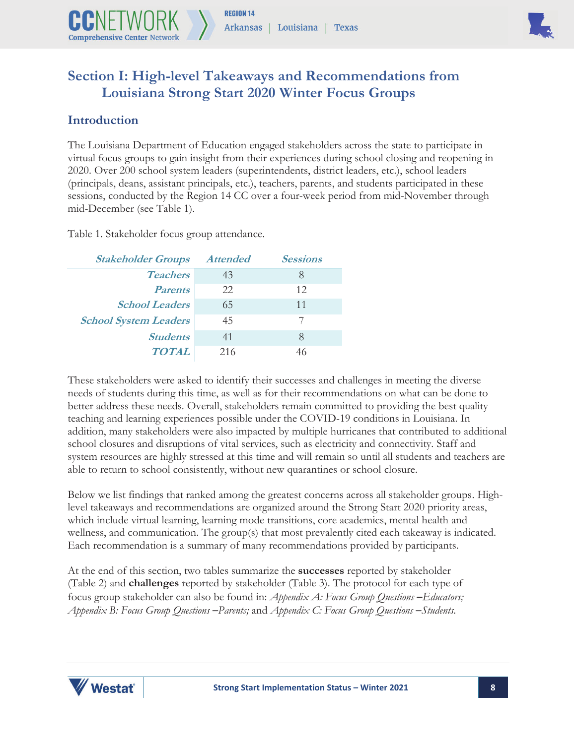



## **Section I: High-level Takeaways and Recommendations from Louisiana Strong Start 2020 Winter Focus Groups**

#### **Introduction**

The Louisiana Department of Education engaged stakeholders across the state to participate in virtual focus groups to gain insight from their experiences during school closing and reopening in 2020. Over 200 school system leaders (superintendents, district leaders, etc.), school leaders (principals, deans, assistant principals, etc.), teachers, parents, and students participated in these sessions, conducted by the Region 14 CC over a four-week period from mid-November through mid-December (see Table 1).

Table 1. Stakeholder focus group attendance.

| <b>Stakeholder Groups</b>    | <b>Attended</b> | <b>Sessions</b> |
|------------------------------|-----------------|-----------------|
| <b>Teachers</b>              | 43              | 8               |
| <b>Parents</b>               | 22              | 12              |
| <b>School Leaders</b>        | 65              | 11              |
| <b>School System Leaders</b> | 45              |                 |
| <b>Students</b>              | 41              | 8               |
| <b>TOTAL</b>                 | 216             |                 |

These stakeholders were asked to identify their successes and challenges in meeting the diverse needs of students during this time, as well as for their recommendations on what can be done to better address these needs. Overall, stakeholders remain committed to providing the best quality teaching and learning experiences possible under the COVID-19 conditions in Louisiana. In addition, many stakeholders were also impacted by multiple hurricanes that contributed to additional school closures and disruptions of vital services, such as electricity and connectivity. Staff and system resources are highly stressed at this time and will remain so until all students and teachers are able to return to school consistently, without new quarantines or school closure.

Below we list findings that ranked among the greatest concerns across all stakeholder groups. Highlevel takeaways and recommendations are organized around the Strong Start 2020 priority areas, which include virtual learning, learning mode transitions, core academics, mental health and wellness, and communication. The group(s) that most prevalently cited each takeaway is indicated. Each recommendation is a summary of many recommendations provided by participants.

At the end of this section, two tables summarize the **successes** reported by stakeholder (Table 2) and **challenges** reported by stakeholder (Table 3). The protocol for each type of focus group stakeholder can also be found in: *Appendix A: Focus Group Questions -Educators; Appendix B: Focus Group Questions ̶ Parents;* and *Appendix C: Focus Group Questions ̶ Students.* 

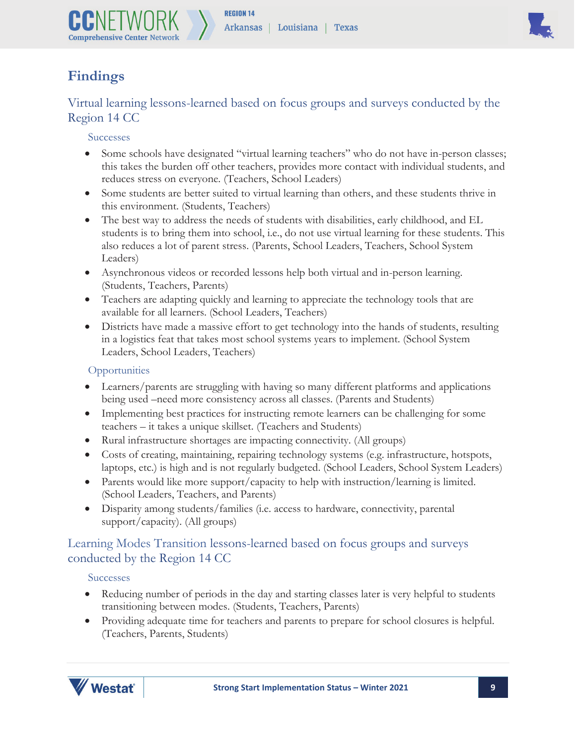



## **Findings**

Virtual learning lessons-learned based on focus groups and surveys conducted by the Region 14 CC

#### Successes

- Some schools have designated "virtual learning teachers" who do not have in-person classes; this takes the burden off other teachers, provides more contact with individual students, and reduces stress on everyone. (Teachers, School Leaders)
- Some students are better suited to virtual learning than others, and these students thrive in this environment. (Students, Teachers)
- The best way to address the needs of students with disabilities, early childhood, and EL students is to bring them into school, i.e., do not use virtual learning for these students. This also reduces a lot of parent stress. (Parents, School Leaders, Teachers, School System Leaders)
- Asynchronous videos or recorded lessons help both virtual and in-person learning. (Students, Teachers, Parents)
- Teachers are adapting quickly and learning to appreciate the technology tools that are available for all learners. (School Leaders, Teachers)
- Districts have made a massive effort to get technology into the hands of students, resulting in a logistics feat that takes most school systems years to implement. (School System Leaders, School Leaders, Teachers)

#### **Opportunities**

- Learners/parents are struggling with having so many different platforms and applications being used –need more consistency across all classes. (Parents and Students)
- Implementing best practices for instructing remote learners can be challenging for some teachers – it takes a unique skillset. (Teachers and Students)
- Rural infrastructure shortages are impacting connectivity. (All groups)
- Costs of creating, maintaining, repairing technology systems (e.g. infrastructure, hotspots, laptops, etc.) is high and is not regularly budgeted. (School Leaders, School System Leaders)
- Parents would like more support/capacity to help with instruction/learning is limited. (School Leaders, Teachers, and Parents)
- Disparity among students/families (i.e. access to hardware, connectivity, parental support/capacity). (All groups)

#### Learning Modes Transition lessons-learned based on focus groups and surveys conducted by the Region 14 CC

#### Successes

- Reducing number of periods in the day and starting classes later is very helpful to students transitioning between modes. (Students, Teachers, Parents)
- Providing adequate time for teachers and parents to prepare for school closures is helpful. (Teachers, Parents, Students)

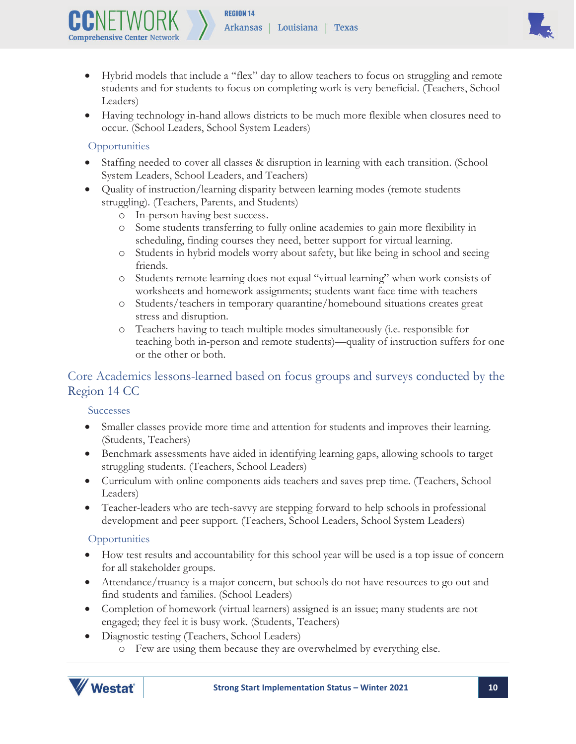

- Hybrid models that include a "flex" day to allow teachers to focus on struggling and remote students and for students to focus on completing work is very beneficial. (Teachers, School Leaders)
- Having technology in-hand allows districts to be much more flexible when closures need to occur. (School Leaders, School System Leaders)

#### **Opportunities**

- x Staffing needed to cover all classes & disruption in learning with each transition. (School System Leaders, School Leaders, and Teachers)
- Quality of instruction/learning disparity between learning modes (remote students struggling). (Teachers, Parents, and Students)
	- o In-person having best success.
	- o Some students transferring to fully online academies to gain more flexibility in scheduling, finding courses they need, better support for virtual learning.
	- o Students in hybrid models worry about safety, but like being in school and seeing friends.
	- o Students remote learning does not equal "virtual learning" when work consists of worksheets and homework assignments; students want face time with teachers
	- o Students/teachers in temporary quarantine/homebound situations creates great stress and disruption.
	- o Teachers having to teach multiple modes simultaneously (i.e. responsible for teaching both in-person and remote students)—quality of instruction suffers for one or the other or both.

#### Core Academics lessons-learned based on focus groups and surveys conducted by the Region 14 CC

**Successes** 

- Smaller classes provide more time and attention for students and improves their learning. (Students, Teachers)
- Benchmark assessments have aided in identifying learning gaps, allowing schools to target struggling students. (Teachers, School Leaders)
- Curriculum with online components aids teachers and saves prep time. (Teachers, School Leaders)
- Teacher-leaders who are tech-savvy are stepping forward to help schools in professional development and peer support. (Teachers, School Leaders, School System Leaders)

#### **Opportunities**

- How test results and accountability for this school year will be used is a top issue of concern for all stakeholder groups.
- Attendance/truancy is a major concern, but schools do not have resources to go out and find students and families. (School Leaders)
- Completion of homework (virtual learners) assigned is an issue; many students are not engaged; they feel it is busy work. (Students, Teachers)
- Diagnostic testing (Teachers, School Leaders)
	- o Few are using them because they are overwhelmed by everything else.

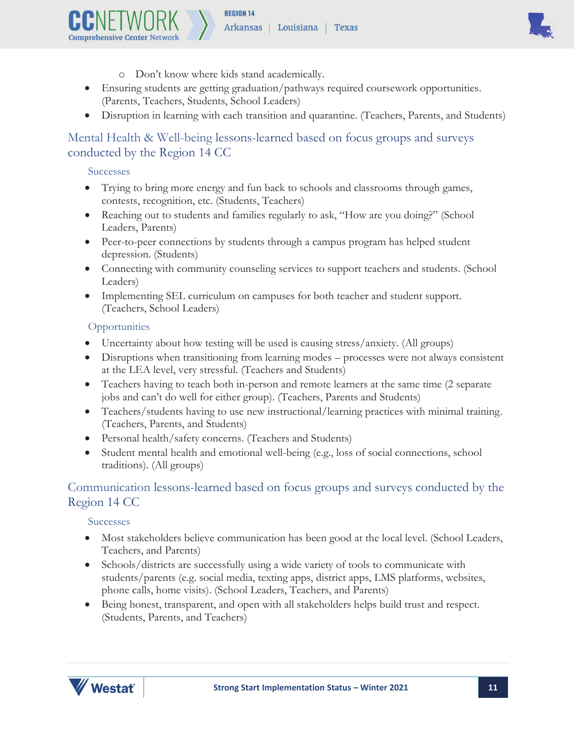

- o Don't know where kids stand academically.
- Ensuring students are getting graduation/pathways required coursework opportunities. (Parents, Teachers, Students, School Leaders)
- Disruption in learning with each transition and quarantine. (Teachers, Parents, and Students)

#### Mental Health & Well-being lessons-learned based on focus groups and surveys conducted by the Region 14 CC

#### Successes

**Comprehensive Center Netwo** 

- Trying to bring more energy and fun back to schools and classrooms through games, contests, recognition, etc. (Students, Teachers)
- Reaching out to students and families regularly to ask, "How are you doing?" (School Leaders, Parents)
- Peer-to-peer connections by students through a campus program has helped student depression. (Students)
- Connecting with community counseling services to support teachers and students. (School Leaders)
- Implementing SEL curriculum on campuses for both teacher and student support. (Teachers, School Leaders)

#### **Opportunities**

- Uncertainty about how testing will be used is causing stress/anxiety. (All groups)
- Disruptions when transitioning from learning modes processes were not always consistent at the LEA level, very stressful. (Teachers and Students)
- Teachers having to teach both in-person and remote learners at the same time (2 separate jobs and can't do well for either group). (Teachers, Parents and Students)
- Teachers/students having to use new instructional/learning practices with minimal training. (Teachers, Parents, and Students)
- Personal health/safety concerns. (Teachers and Students)
- $\bullet$  Student mental health and emotional well-being (e.g., loss of social connections, school traditions). (All groups)

#### Communication lessons-learned based on focus groups and surveys conducted by the Region 14 CC

#### Successes

- x Most stakeholders believe communication has been good at the local level. (School Leaders, Teachers, and Parents)
- x Schools/districts are successfully using a wide variety of tools to communicate with students/parents (e.g. social media, texting apps, district apps, LMS platforms, websites, phone calls, home visits). (School Leaders, Teachers, and Parents)
- Being honest, transparent, and open with all stakeholders helps build trust and respect. (Students, Parents, and Teachers)

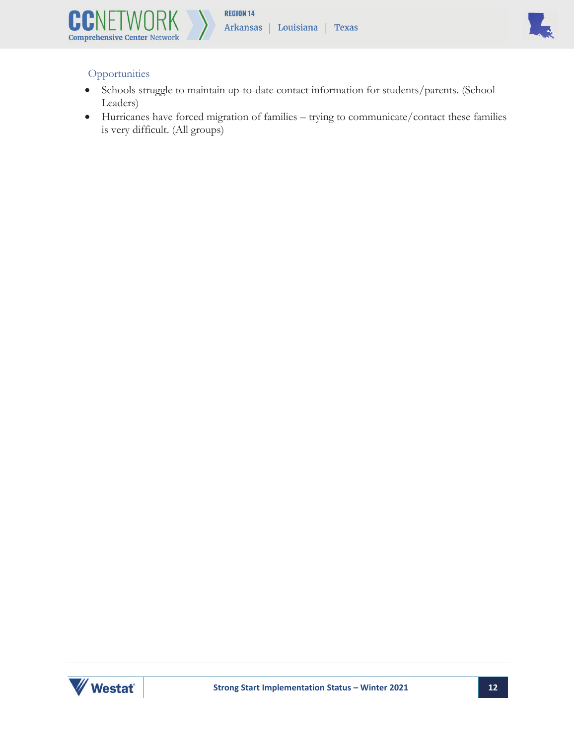



#### **Opportunities**

- Schools struggle to maintain up-to-date contact information for students/parents. (School Leaders)
- x Hurricanes have forced migration of families trying to communicate/contact these families is very difficult. (All groups)

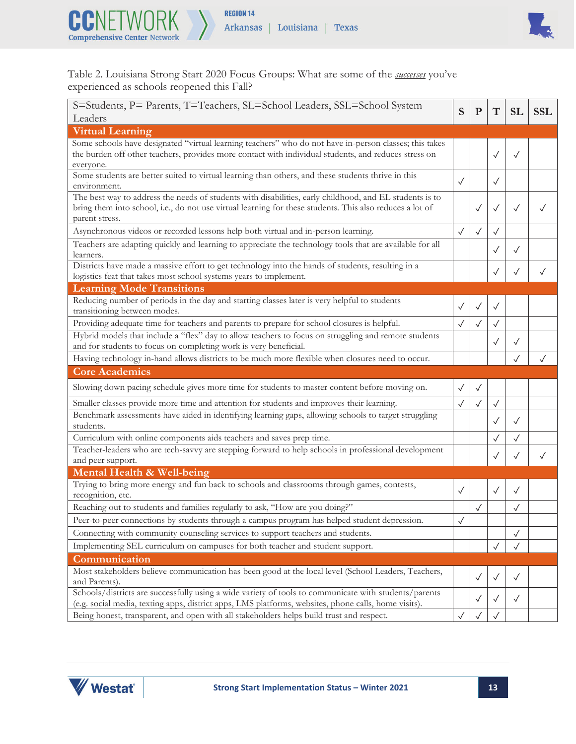



Table 2. Louisiana Strong Start 2020 Focus Groups: What are some of the *successes* you've experienced as schools reopened this Fall?

| S=Students, P= Parents, T=Teachers, SL=School Leaders, SSL=School System                                                                                                                                      |              | $\mathbf P$  | $\mathbf T$  | <b>SL</b>    | <b>SSL</b>   |
|---------------------------------------------------------------------------------------------------------------------------------------------------------------------------------------------------------------|--------------|--------------|--------------|--------------|--------------|
| Leaders                                                                                                                                                                                                       | S            |              |              |              |              |
| <b>Virtual Learning</b>                                                                                                                                                                                       |              |              |              |              |              |
| Some schools have designated "virtual learning teachers" who do not have in-person classes; this takes                                                                                                        |              |              |              |              |              |
| the burden off other teachers, provides more contact with individual students, and reduces stress on                                                                                                          |              |              | $\checkmark$ | $\checkmark$ |              |
| everyone.<br>Some students are better suited to virtual learning than others, and these students thrive in this                                                                                               |              |              |              |              |              |
| environment.                                                                                                                                                                                                  | $\checkmark$ |              | $\checkmark$ |              |              |
| The best way to address the needs of students with disabilities, early childhood, and EL students is to                                                                                                       |              |              |              |              |              |
| bring them into school, i.e., do not use virtual learning for these students. This also reduces a lot of                                                                                                      |              | $\checkmark$ | $\checkmark$ | $\checkmark$ |              |
| parent stress.                                                                                                                                                                                                |              |              |              |              |              |
| Asynchronous videos or recorded lessons help both virtual and in-person learning.                                                                                                                             | $\checkmark$ | $\checkmark$ |              |              |              |
| Teachers are adapting quickly and learning to appreciate the technology tools that are available for all                                                                                                      |              |              |              | $\checkmark$ |              |
| learners.<br>Districts have made a massive effort to get technology into the hands of students, resulting in a                                                                                                |              |              |              |              |              |
| logistics feat that takes most school systems years to implement.                                                                                                                                             |              |              |              | $\checkmark$ | $\checkmark$ |
| <b>Learning Mode Transitions</b>                                                                                                                                                                              |              |              |              |              |              |
| Reducing number of periods in the day and starting classes later is very helpful to students                                                                                                                  |              |              |              |              |              |
| transitioning between modes.                                                                                                                                                                                  | $\checkmark$ | $\checkmark$ | ✓            |              |              |
| Providing adequate time for teachers and parents to prepare for school closures is helpful.                                                                                                                   | $\checkmark$ | $\checkmark$ | $\checkmark$ |              |              |
| Hybrid models that include a "flex" day to allow teachers to focus on struggling and remote students                                                                                                          |              |              | $\checkmark$ | ✓            |              |
| and for students to focus on completing work is very beneficial.                                                                                                                                              |              |              |              |              |              |
| Having technology in-hand allows districts to be much more flexible when closures need to occur.                                                                                                              |              |              |              |              |              |
| <b>Core Academics</b>                                                                                                                                                                                         |              |              |              |              |              |
| Slowing down pacing schedule gives more time for students to master content before moving on.                                                                                                                 | $\checkmark$ | $\checkmark$ |              |              |              |
| Smaller classes provide more time and attention for students and improves their learning.                                                                                                                     | $\checkmark$ | $\checkmark$ | $\checkmark$ |              |              |
| Benchmark assessments have aided in identifying learning gaps, allowing schools to target struggling<br>students.                                                                                             |              |              | $\checkmark$ | $\checkmark$ |              |
| Curriculum with online components aids teachers and saves prep time.                                                                                                                                          |              |              |              | $\checkmark$ |              |
| Teacher-leaders who are tech-savvy are stepping forward to help schools in professional development                                                                                                           |              |              |              |              |              |
| and peer support.                                                                                                                                                                                             |              |              |              | $\checkmark$ | $\checkmark$ |
| Mental Health & Well-being                                                                                                                                                                                    |              |              |              |              |              |
| Trying to bring more energy and fun back to schools and classrooms through games, contests,<br>recognition, etc.                                                                                              | $\checkmark$ |              |              | $\checkmark$ |              |
| Reaching out to students and families regularly to ask, "How are you doing?"                                                                                                                                  |              |              |              |              |              |
| Peer-to-peer connections by students through a campus program has helped student depression.                                                                                                                  | $\sqrt{ }$   |              |              |              |              |
| Connecting with community counseling services to support teachers and students.                                                                                                                               |              |              |              | $\checkmark$ |              |
| Implementing SEL curriculum on campuses for both teacher and student support.                                                                                                                                 |              |              |              | $\checkmark$ |              |
| Communication                                                                                                                                                                                                 |              |              |              |              |              |
| Most stakeholders believe communication has been good at the local level (School Leaders, Teachers,                                                                                                           |              | $\checkmark$ |              | $\checkmark$ |              |
| and Parents).                                                                                                                                                                                                 |              |              | $\checkmark$ |              |              |
| Schools/districts are successfully using a wide variety of tools to communicate with students/parents<br>(e.g. social media, texting apps, district apps, LMS platforms, websites, phone calls, home visits). |              | $\checkmark$ |              | $\checkmark$ |              |
| Being honest, transparent, and open with all stakeholders helps build trust and respect.                                                                                                                      |              |              |              |              |              |

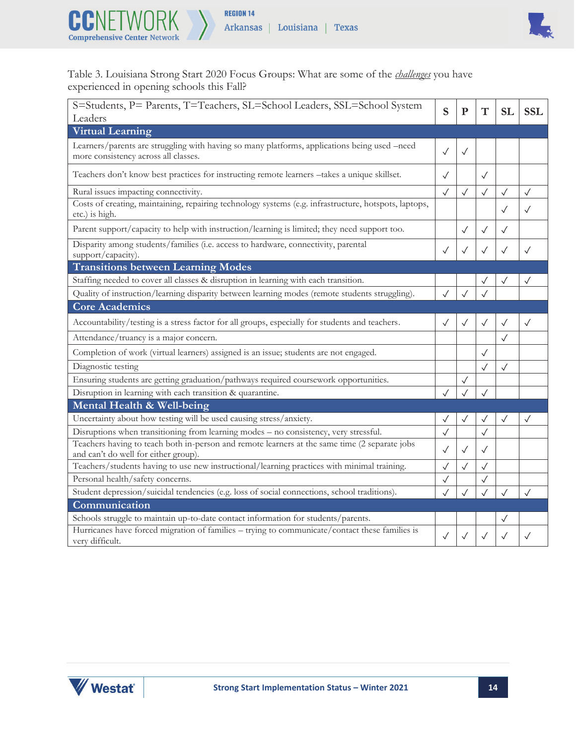



Table 3. Louisiana Strong Start 2020 Focus Groups: What are some of the *challenges* you have experienced in opening schools this Fall?

| S=Students, P= Parents, T=Teachers, SL=School Leaders, SSL=School System<br>Leaders                                                   | S            | ${\bf P}$    | T            | <b>SL</b>    | <b>SSL</b>   |
|---------------------------------------------------------------------------------------------------------------------------------------|--------------|--------------|--------------|--------------|--------------|
| <b>Virtual Learning</b>                                                                                                               |              |              |              |              |              |
| Learners/parents are struggling with having so many platforms, applications being used -need<br>more consistency across all classes.  | $\checkmark$ | $\checkmark$ |              |              |              |
| Teachers don't know best practices for instructing remote learners -takes a unique skillset.                                          | $\checkmark$ |              | $\checkmark$ |              |              |
| Rural issues impacting connectivity.                                                                                                  | $\checkmark$ | $\checkmark$ | $\checkmark$ | $\checkmark$ | $\checkmark$ |
| Costs of creating, maintaining, repairing technology systems (e.g. infrastructure, hotspots, laptops,<br>etc.) is high.               |              |              |              | $\checkmark$ | $\checkmark$ |
| Parent support/capacity to help with instruction/learning is limited; they need support too.                                          |              | $\checkmark$ | $\checkmark$ | $\checkmark$ |              |
| Disparity among students/families (i.e. access to hardware, connectivity, parental<br>support/capacity).                              | $\checkmark$ |              |              | $\checkmark$ | $\checkmark$ |
| <b>Transitions between Learning Modes</b>                                                                                             |              |              |              |              |              |
| Staffing needed to cover all classes & disruption in learning with each transition.                                                   |              |              |              | $\checkmark$ | $\checkmark$ |
| Quality of instruction/learning disparity between learning modes (remote students struggling).                                        | $\checkmark$ | ✓            |              |              |              |
| <b>Core Academics</b>                                                                                                                 |              |              |              |              |              |
| Accountability/testing is a stress factor for all groups, especially for students and teachers.                                       | $\checkmark$ | $\checkmark$ | $\checkmark$ | $\checkmark$ | $\checkmark$ |
| Attendance/truancy is a major concern.                                                                                                |              |              |              | $\checkmark$ |              |
| Completion of work (virtual learners) assigned is an issue; students are not engaged.                                                 |              |              | $\checkmark$ |              |              |
| Diagnostic testing                                                                                                                    |              |              | $\checkmark$ | $\checkmark$ |              |
| Ensuring students are getting graduation/pathways required coursework opportunities.                                                  |              |              |              |              |              |
| Disruption in learning with each transition & quarantine.                                                                             |              |              |              |              |              |
| Mental Health & Well-being                                                                                                            |              |              |              |              |              |
| Uncertainty about how testing will be used causing stress/anxiety.                                                                    |              |              |              |              |              |
| Disruptions when transitioning from learning modes - no consistency, very stressful.                                                  | $\checkmark$ |              |              |              |              |
| Teachers having to teach both in-person and remote learners at the same time (2 separate jobs<br>and can't do well for either group). | $\checkmark$ | $\checkmark$ | $\checkmark$ |              |              |
| Teachers/students having to use new instructional/learning practices with minimal training.                                           | ✓            |              |              |              |              |
| Personal health/safety concerns.                                                                                                      | $\checkmark$ |              |              |              |              |
| Student depression/suicidal tendencies (e.g. loss of social connections, school traditions).                                          |              |              |              | $\checkmark$ | $\checkmark$ |
| Communication                                                                                                                         |              |              |              |              |              |
| Schools struggle to maintain up-to-date contact information for students/parents.                                                     |              |              |              |              |              |
| Hurricanes have forced migration of families – trying to communicate/contact these families is<br>very difficult.                     | ✓            | $\checkmark$ | $\checkmark$ |              |              |

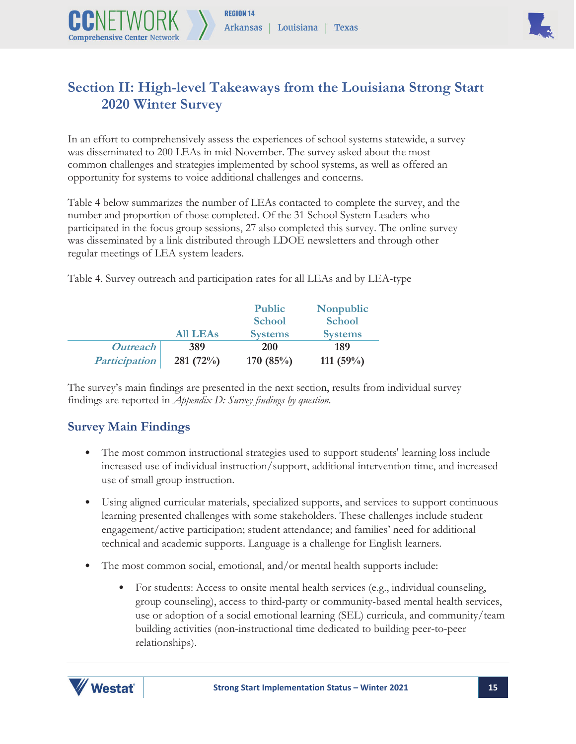

## **Section II: High-level Takeaways from the Louisiana Strong Start 2020 Winter Survey**

In an effort to comprehensively assess the experiences of school systems statewide, a survey was disseminated to 200 LEAs in mid-November. The survey asked about the most common challenges and strategies implemented by school systems, as well as offered an opportunity for systems to voice additional challenges and concerns.

Table 4 below summarizes the number of LEAs contacted to complete the survey, and the number and proportion of those completed. Of the 31 School System Leaders who participated in the focus group sessions, 27 also completed this survey. The online survey was disseminated by a link distributed through LDOE newsletters and through other regular meetings of LEA system leaders.

Table 4. Survey outreach and participation rates for all LEAs and by LEA-type

|                      |                 | <b>Public</b>  | Nonpublic      |
|----------------------|-----------------|----------------|----------------|
|                      |                 | <b>School</b>  | <b>School</b>  |
|                      | <b>All LEAs</b> | <b>Systems</b> | <b>Systems</b> |
| <b>Outreach</b>      | 389             | 200            | 189            |
| <b>Participation</b> | 281(72%)        | 170 $(85%)$    | 111 $(59%)$    |

The survey's main findings are presented in the next section, results from individual survey findings are reported in *Appendix D: Survey findings by question.*

#### **Survey Main Findings**

**Comprehensive Center Netwo** 

- The most common instructional strategies used to support students' learning loss include increased use of individual instruction/support, additional intervention time, and increased use of small group instruction.
- Using aligned curricular materials, specialized supports, and services to support continuous learning presented challenges with some stakeholders. These challenges include student engagement/active participation; student attendance; and families' need for additional technical and academic supports. Language is a challenge for English learners.
- The most common social, emotional, and/or mental health supports include:
	- For students: Access to onsite mental health services (e.g., individual counseling, group counseling), access to third-party or community-based mental health services, use or adoption of a social emotional learning (SEL) curricula, and community/team building activities (non-instructional time dedicated to building peer-to-peer relationships).